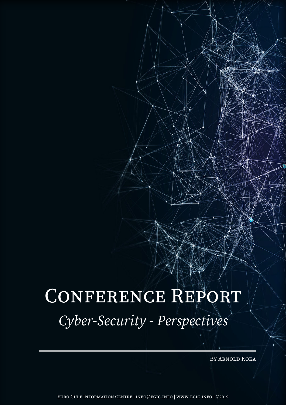## CONFERENCE REPORT *Cyber-Security - Perspectives*

By Arnold Koka

Euro Gulf Information Centre | info@egic.info | www.egic.info | ©2019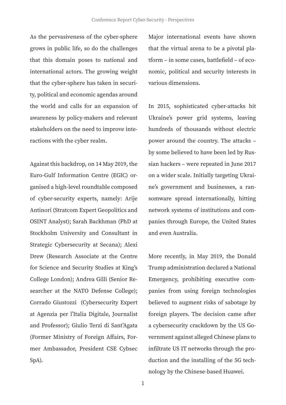As the pervasiveness of the cyber-sphere grows in public life, so do the challenges that this domain poses to national and international actors. The growing weight that the cyber-sphere has taken in security, political and economic agendas around the world and calls for an expansion of awareness by policy-makers and relevant stakeholders on the need to improve interactions with the cyber realm.

Against this backdrop, on 14 May 2019, the Euro-Gulf Information Centre (EGIC) organised a high-level roundtable composed of cyber-security experts, namely: Arije Antinori (Stratcom Expert Geopolitics and OSINT Analyst); Sarah Backhman (PhD at Stockholm University and Consultant in Strategic Cybersecurity at Secana); Alexi Drew (Research Associate at the Centre for Science and Security Studies at King's College London); Andrea Gilli (Senior Researcher at the NATO Defense College); Corrado Giustozzi (Cybersecurity Expert at Agenzia per l'Italia Digitale, Journalist and Professor); Giulio Terzi di Sant'Agata (Former Ministry of Foreign Affairs, Former Ambassador, President CSE Cybsec SpA).

Major international events have shown that the virtual arena to be a pivotal platform – in some cases, battlefield – of economic, political and security interests in various dimensions.

In 2015, sophisticated cyber-attacks hit Ukraine's power grid systems, leaving hundreds of thousands without electric power around the country. The attacks – by some believed to have been led by Russian hackers – were repeated in June 2017 on a wider scale. Initially targeting Ukraine's government and businesses, a ransomware spread internationally, hitting network systems of institutions and companies through Europe, the United States and even Australia.

More recently, in May 2019, the Donald Trump administration declared a National Emergency, prohibiting executive companies from using foreign technologies believed to augment risks of sabotage by foreign players. The decision came after a cybersecurity crackdown by the US Government against alleged Chinese plans to infiltrate US IT networks through the production and the installing of the 5G technology by the Chinese-based Huawei.

1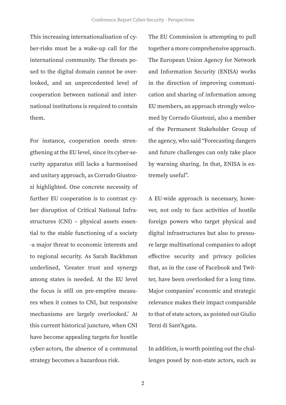This increasing internationalisation of cyber-risks must be a wake-up call for the international community. The threats posed to the digital domain cannot be overlooked, and an unprecedented level of cooperation between national and international institutions is required to contain them.

For instance, cooperation needs strengthening at the EU level, since its cyber-security apparatus still lacks a harmonised and unitary approach, as Corrado Giustozzi highlighted. One concrete necessity of further EU cooperation is to contrast cyber disruption of Critical National Infrastructures (CNI) – physical assets essential to the stable functioning of a society -a major threat to economic interests and to regional security. As Sarah Backhman underlined, 'Greater trust and synergy among states is needed. At the EU level the focus is still on pre-emptive measures when it comes to CNI, but responsive mechanisms are largely overlooked.' At this current historical juncture, when CNI have become appealing targets for hostile cyber-actors, the absence of a communal strategy becomes a hazardous risk.

The EU Commission is attempting to pull together a more comprehensive approach. The European Union Agency for Network and Information Security (ENISA) works in the direction of improving communication and sharing of information among EU members, an approach strongly welcomed by Corrado Giustozzi, also a member of the Permanent Stakeholder Group of the agency, who said "Forecasting dangers and future challenges can only take place by warning sharing. In that, ENISA is extremely useful".

A EU-wide approach is necessary, however, not only to face activities of hostile foreign powers who target physical and digital infrastructures but also to pressure large multinational companies to adopt effective security and privacy policies that, as in the case of Facebook and Twitter, have been overlooked for a long time. Major companies' economic and strategic relevance makes their impact comparable to that of state actors, as pointed out Giulio Terzi di Sant'Agata.

In addition, is worth pointing out the challenges posed by non-state actors, such as

2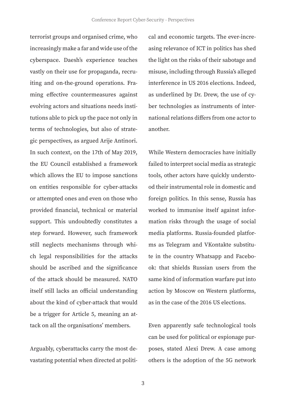terrorist groups and organised crime, who increasingly make a far and wide use of the cyberspace. Daesh's experience teaches vastly on their use for propaganda, recruiting and on-the-ground operations. Framing effective countermeasures against evolving actors and situations needs institutions able to pick up the pace not only in terms of technologies, but also of strategic perspectives, as argued Arije Antinori. In such context, on the 17th of May 2019, the EU Council established a framework which allows the EU to impose sanctions on entities responsible for cyber-attacks or attempted ones and even on those who provided financial, technical or material support. This undoubtedly constitutes a step forward. However, such framework still neglects mechanisms through which legal responsibilities for the attacks should be ascribed and the significance of the attack should be measured. NATO itself still lacks an official understanding about the kind of cyber-attack that would be a trigger for Article 5, meaning an attack on all the organisations' members.

Arguably, cyberattacks carry the most devastating potential when directed at political and economic targets. The ever-increasing relevance of ICT in politics has shed the light on the risks of their sabotage and misuse, including through Russia's alleged interference in US 2016 elections. Indeed, as underlined by Dr. Drew, the use of cyber technologies as instruments of international relations differs from one actor to another.

While Western democracies have initially failed to interpret social media as strategic tools, other actors have quickly understood their instrumental role in domestic and foreign politics. In this sense, Russia has worked to immunise itself against information risks through the usage of social media platforms. Russia-founded platforms as Telegram and VKontakte substitute in the country Whatsapp and Facebook: that shields Russian users from the same kind of information warfare put into action by Moscow on Western platforms, as in the case of the 2016 US elections.

Even apparently safe technological tools can be used for political or espionage purposes, stated Alexi Drew. A case among others is the adoption of the 5G network

3